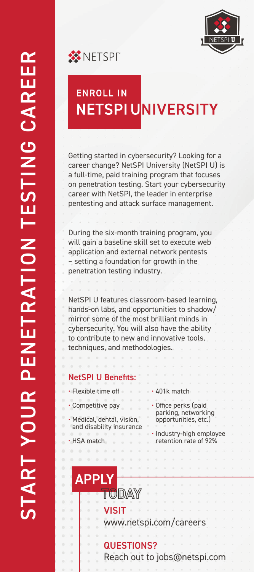

**WINETSPI** 



Getting started in cybersecurity? Looking for a career change? NetSPI University (NetSPI U) is a full-time, paid training program that focuses on penetration testing. Start your cybersecurity career with NetSPI, the leader in enterprise pentesting and attack surface management.

During the six-month training program, you will gain a baseline skill set to execute web application and external network pentests – setting a foundation for growth in the penetration testing industry.

NetSPI U features classroom-based learning, hands-on labs, and opportunities to shadow/ mirror some of the most brilliant minds in cybersecurity. You will also have the ability to contribute to new and innovative tools, techniques, and methodologies.

# NetSPI U Benefits:

• Flexible time off

 $\alpha$ 

• Competitive pay

• HSA match

 $\begin{array}{cccccccccccccc} 0 & 0 & 0 & 0 & 0 & 0 \end{array}$ 

- Medical, dental, vision, and disability insurance
- 401k match
- Office perks (paid parking, networking opportunities, etc.)
- Industry-high employee retention rate of 92%

# **APPLY** TODAY

**VISIT** 

www.netspi.com/careers

# QUESTIONS?

Reach out to jobs@netspi.com